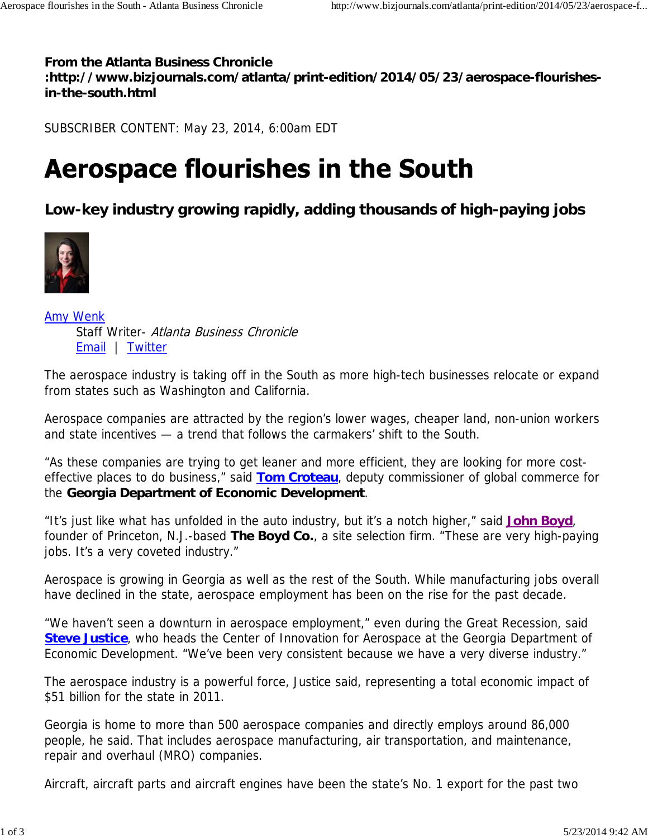## **From the Atlanta Business Chronicle**

**:http://www.bizjournals.com/atlanta/print-edition/2014/05/23/aerospace-flourishesin-the-south.html**

SUBSCRIBER CONTENT: May 23, 2014, 6:00am EDT

## **Aerospace flourishes in the South**

**Low-key industry growing rapidly, adding thousands of high-paying jobs**



Amy Wenk Staff Writer- Atlanta Business Chronicle Email | Twitter

The aerospace industry is taking off in the South as more high-tech businesses relocate or expand from states such as Washington and California.

Aerospace companies are attracted by the region's lower wages, cheaper land, non-union workers and state incentives — a trend that follows the carmakers' shift to the South.

"As these companies are trying to get leaner and more efficient, they are looking for more costeffective places to do business," said **Tom Croteau**, deputy commissioner of global commerce for the **Georgia Department of Economic Development**.

"It's just like what has unfolded in the auto industry, but it's a notch higher," said **John Boyd**, founder of Princeton, N.J.-based **The Boyd Co.**, a site selection firm. "These are very high-paying jobs. It's a very coveted industry."

Aerospace is growing in Georgia as well as the rest of the South. While manufacturing jobs overall have declined in the state, aerospace employment has been on the rise for the past decade.

"We haven't seen a downturn in aerospace employment," even during the Great Recession, said **Steve Justice**, who heads the Center of Innovation for Aerospace at the Georgia Department of Economic Development. "We've been very consistent because we have a very diverse industry."

The aerospace industry is a powerful force, Justice said, representing a total economic impact of \$51 billion for the state in 2011.

Georgia is home to more than 500 aerospace companies and directly employs around 86,000 people, he said. That includes aerospace manufacturing, air transportation, and maintenance, repair and overhaul (MRO) companies.

Aircraft, aircraft parts and aircraft engines have been the state's No. 1 export for the past two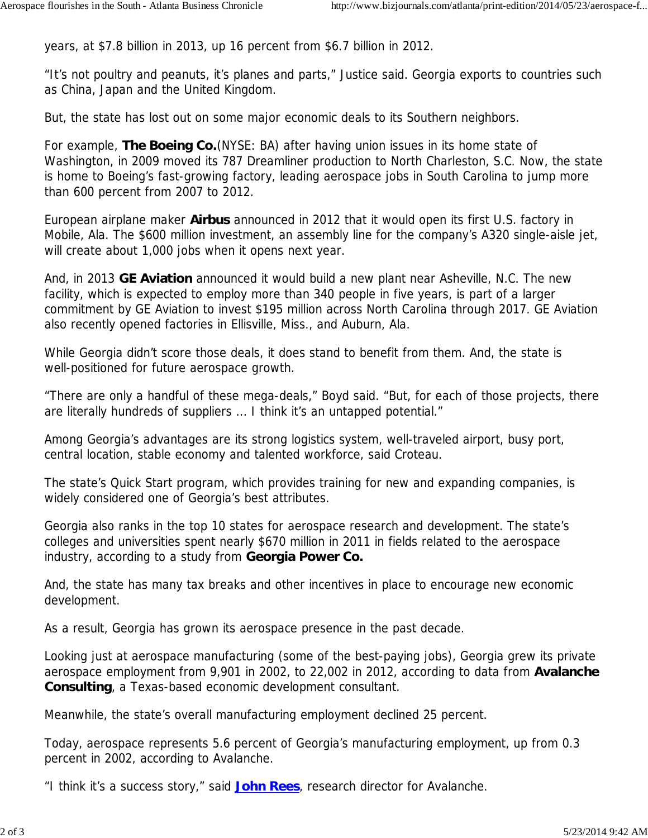years, at \$7.8 billion in 2013, up 16 percent from \$6.7 billion in 2012.

"It's not poultry and peanuts, it's planes and parts," Justice said. Georgia exports to countries such as China, Japan and the United Kingdom.

But, the state has lost out on some major economic deals to its Southern neighbors.

For example, **The Boeing Co.**(NYSE: BA) after having union issues in its home state of Washington, in 2009 moved its 787 Dreamliner production to North Charleston, S.C. Now, the state is home to Boeing's fast-growing factory, leading aerospace jobs in South Carolina to jump more than 600 percent from 2007 to 2012.

European airplane maker **Airbus** announced in 2012 that it would open its first U.S. factory in Mobile, Ala. The \$600 million investment, an assembly line for the company's A320 single-aisle jet, will create about 1,000 jobs when it opens next year.

And, in 2013 **GE Aviation** announced it would build a new plant near Asheville, N.C. The new facility, which is expected to employ more than 340 people in five years, is part of a larger commitment by GE Aviation to invest \$195 million across North Carolina through 2017. GE Aviation also recently opened factories in Ellisville, Miss., and Auburn, Ala.

While Georgia didn't score those deals, it does stand to benefit from them. And, the state is well-positioned for future aerospace growth.

"There are only a handful of these mega-deals," Boyd said. "But, for each of those projects, there are literally hundreds of suppliers ... I think it's an untapped potential."

Among Georgia's advantages are its strong logistics system, well-traveled airport, busy port, central location, stable economy and talented workforce, said Croteau.

The state's Quick Start program, which provides training for new and expanding companies, is widely considered one of Georgia's best attributes.

Georgia also ranks in the top 10 states for aerospace research and development. The state's colleges and universities spent nearly \$670 million in 2011 in fields related to the aerospace industry, according to a study from **Georgia Power Co.**

And, the state has many tax breaks and other incentives in place to encourage new economic development.

As a result, Georgia has grown its aerospace presence in the past decade.

Looking just at aerospace manufacturing (some of the best-paying jobs), Georgia grew its private aerospace employment from 9,901 in 2002, to 22,002 in 2012, according to data from **Avalanche Consulting**, a Texas-based economic development consultant.

Meanwhile, the state's overall manufacturing employment declined 25 percent.

Today, aerospace represents 5.6 percent of Georgia's manufacturing employment, up from 0.3 percent in 2002, according to Avalanche.

"I think it's a success story," said **John Rees**, research director for Avalanche.